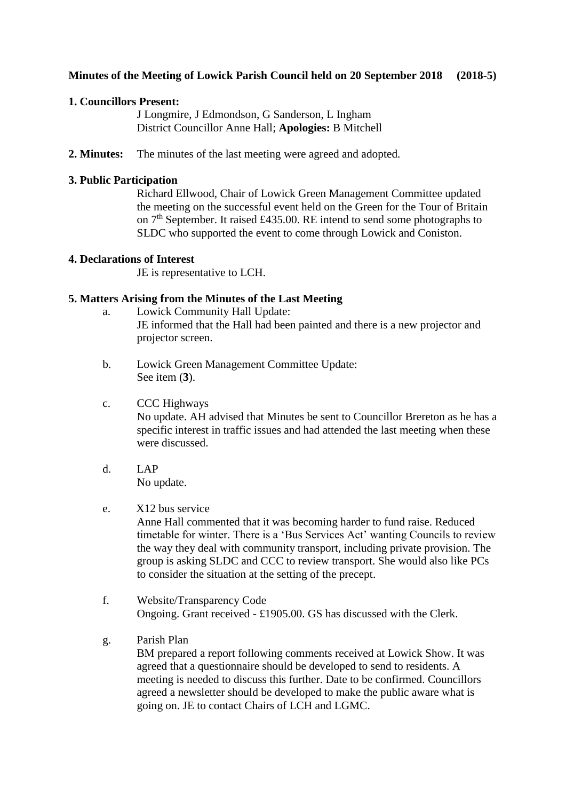# **Minutes of the Meeting of Lowick Parish Council held on 20 September 2018 (2018-5)**

### **1. Councillors Present:**

J Longmire, J Edmondson, G Sanderson, L Ingham District Councillor Anne Hall; **Apologies:** B Mitchell

**2. Minutes:** The minutes of the last meeting were agreed and adopted.

### **3. Public Participation**

Richard Ellwood, Chair of Lowick Green Management Committee updated the meeting on the successful event held on the Green for the Tour of Britain on  $7<sup>th</sup>$  September. It raised £435.00. RE intend to send some photographs to SLDC who supported the event to come through Lowick and Coniston.

#### **4. Declarations of Interest**

JE is representative to LCH.

### **5. Matters Arising from the Minutes of the Last Meeting**

- a. Lowick Community Hall Update: JE informed that the Hall had been painted and there is a new projector and projector screen.
- b. Lowick Green Management Committee Update: See item (**3**).
- c. CCC Highways No update. AH advised that Minutes be sent to Councillor Brereton as he has a specific interest in traffic issues and had attended the last meeting when these were discussed.
- d. LAP No update.

# e. X12 bus service

Anne Hall commented that it was becoming harder to fund raise. Reduced timetable for winter. There is a 'Bus Services Act' wanting Councils to review the way they deal with community transport, including private provision. The group is asking SLDC and CCC to review transport. She would also like PCs to consider the situation at the setting of the precept.

- f. Website/Transparency Code Ongoing. Grant received - £1905.00. GS has discussed with the Clerk.
- g. Parish Plan

BM prepared a report following comments received at Lowick Show. It was agreed that a questionnaire should be developed to send to residents. A meeting is needed to discuss this further. Date to be confirmed. Councillors agreed a newsletter should be developed to make the public aware what is going on. JE to contact Chairs of LCH and LGMC.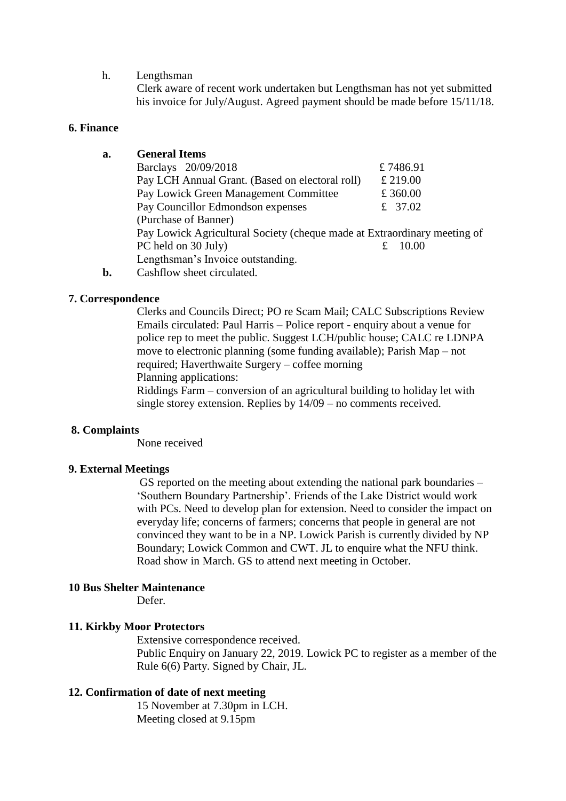#### h. Lengthsman

Clerk aware of recent work undertaken but Lengthsman has not yet submitted his invoice for July/August. Agreed payment should be made before 15/11/18.

#### **6. Finance**

# **a. General Items**

| Barclays 20/09/2018                                                      |  | £7486.91 |
|--------------------------------------------------------------------------|--|----------|
| Pay LCH Annual Grant. (Based on electoral roll)                          |  | £ 219.00 |
| Pay Lowick Green Management Committee                                    |  | £ 360.00 |
| Pay Councillor Edmondson expenses                                        |  | £ 37.02  |
| (Purchase of Banner)                                                     |  |          |
| Pay Lowick Agricultural Society (cheque made at Extraordinary meeting of |  |          |
| PC held on 30 July)                                                      |  | -10.00   |
| Lengthsman's Invoice outstanding.                                        |  |          |
|                                                                          |  |          |

**b.** Cashflow sheet circulated.

#### **7. Correspondence**

Clerks and Councils Direct; PO re Scam Mail; CALC Subscriptions Review Emails circulated: Paul Harris – Police report - enquiry about a venue for police rep to meet the public. Suggest LCH/public house; CALC re LDNPA move to electronic planning (some funding available); Parish Map – not required; Haverthwaite Surgery – coffee morning Planning applications:

Riddings Farm – conversion of an agricultural building to holiday let with single storey extension. Replies by 14/09 – no comments received.

#### **8. Complaints**

None received

#### **9. External Meetings**

GS reported on the meeting about extending the national park boundaries – 'Southern Boundary Partnership'. Friends of the Lake District would work with PCs. Need to develop plan for extension. Need to consider the impact on everyday life; concerns of farmers; concerns that people in general are not convinced they want to be in a NP. Lowick Parish is currently divided by NP Boundary; Lowick Common and CWT. JL to enquire what the NFU think. Road show in March. GS to attend next meeting in October.

#### **10 Bus Shelter Maintenance**

Defer.

# **11. Kirkby Moor Protectors**

Extensive correspondence received. Public Enquiry on January 22, 2019. Lowick PC to register as a member of the Rule 6(6) Party. Signed by Chair, JL.

### **12. Confirmation of date of next meeting**

15 November at 7.30pm in LCH. Meeting closed at 9.15pm